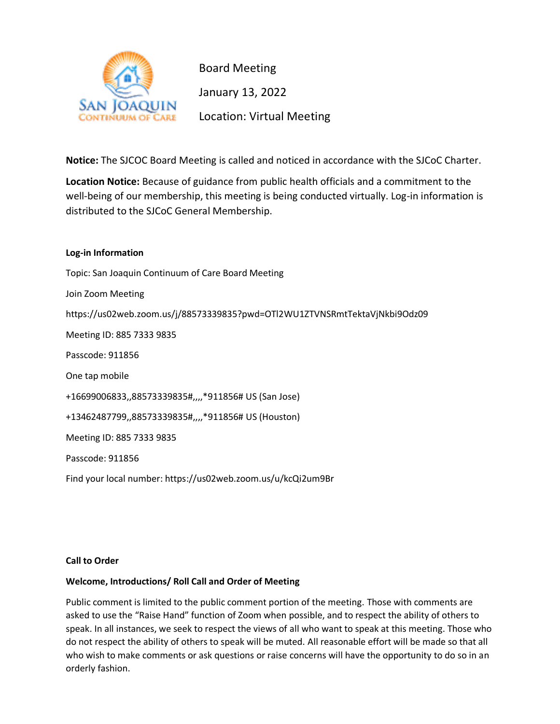

Board Meeting January 13, 2022 Location: Virtual Meeting

**Notice:** The SJCOC Board Meeting is called and noticed in accordance with the SJCoC Charter.

**Location Notice:** Because of guidance from public health officials and a commitment to the well-being of our membership, this meeting is being conducted virtually. Log-in information is distributed to the SJCoC General Membership.

## **Log-in Information**

Topic: San Joaquin Continuum of Care Board Meeting Join Zoom Meeting https://us02web.zoom.us/j/88573339835?pwd=OTl2WU1ZTVNSRmtTektaVjNkbi9Odz09 Meeting ID: 885 7333 9835 Passcode: 911856 One tap mobile +16699006833,,88573339835#,,,,\*911856# US (San Jose) +13462487799,,88573339835#,,,,\*911856# US (Houston) Meeting ID: 885 7333 9835 Passcode: 911856 Find your local number: https://us02web.zoom.us/u/kcQi2um9Br

## **Call to Order**

## **Welcome, Introductions/ Roll Call and Order of Meeting**

Public comment is limited to the public comment portion of the meeting. Those with comments are asked to use the "Raise Hand" function of Zoom when possible, and to respect the ability of others to speak. In all instances, we seek to respect the views of all who want to speak at this meeting. Those who do not respect the ability of others to speak will be muted. All reasonable effort will be made so that all who wish to make comments or ask questions or raise concerns will have the opportunity to do so in an orderly fashion.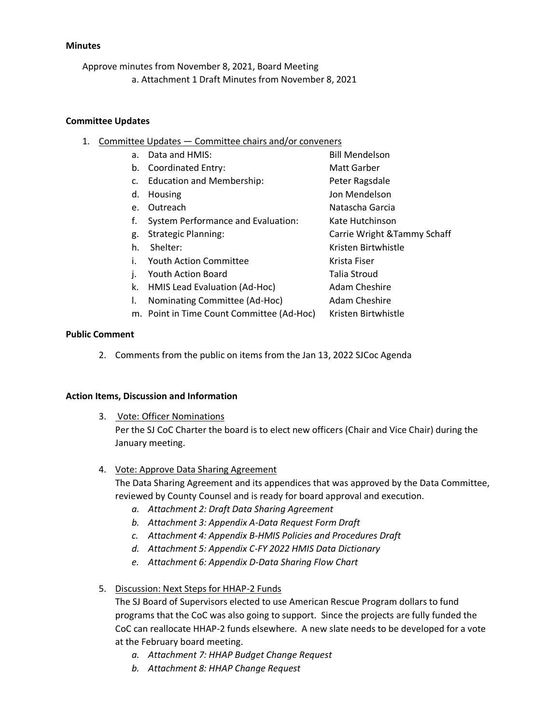#### **Minutes**

Approve minutes from November 8, 2021, Board Meeting a. Attachment 1 Draft Minutes from November 8, 2021

# **Committee Updates**

1. Committee Updates — Committee chairs and/or conveners

| a. | Data and HMIS:                         | <b>Bill Mendelson</b>        |
|----|----------------------------------------|------------------------------|
| b. | <b>Coordinated Entry:</b>              | Matt Garber                  |
| c. | <b>Education and Membership:</b>       | Peter Ragsdale               |
| d. | Housing                                | Jon Mendelson                |
| e. | Outreach                               | Natascha Garcia              |
| f. | System Performance and Evaluation:     | Kate Hutchinson              |
| g. | <b>Strategic Planning:</b>             | Carrie Wright & Tammy Schaff |
| h. | Shelter:                               | Kristen Birtwhistle          |
| i. | <b>Youth Action Committee</b>          | Krista Fiser                 |
| ı. | <b>Youth Action Board</b>              | Talia Stroud                 |
| k. | HMIS Lead Evaluation (Ad-Hoc)          | Adam Cheshire                |
| I. | Nominating Committee (Ad-Hoc)          | Adam Cheshire                |
| m. | Point in Time Count Committee (Ad-Hoc) | Kristen Birtwhistle          |
|    |                                        |                              |

# **Public Comment**

2. Comments from the public on items from the Jan 13, 2022 SJCoc Agenda

# **Action Items, Discussion and Information**

3. Vote: Officer Nominations

Per the SJ CoC Charter the board is to elect new officers (Chair and Vice Chair) during the January meeting.

4. Vote: Approve Data Sharing Agreement

The Data Sharing Agreement and its appendices that was approved by the Data Committee, reviewed by County Counsel and is ready for board approval and execution.

- *a. Attachment 2: Draft Data Sharing Agreement*
- *b. Attachment 3: Appendix A-Data Request Form Draft*
- *c. Attachment 4: Appendix B-HMIS Policies and Procedures Draft*
- *d. Attachment 5: Appendix C-FY 2022 HMIS Data Dictionary*
- *e. Attachment 6: Appendix D-Data Sharing Flow Chart*
- 5. Discussion: Next Steps for HHAP-2 Funds

The SJ Board of Supervisors elected to use American Rescue Program dollars to fund programs that the CoC was also going to support. Since the projects are fully funded the CoC can reallocate HHAP-2 funds elsewhere. A new slate needs to be developed for a vote at the February board meeting.

- *a. Attachment 7: HHAP Budget Change Request*
- *b. Attachment 8: HHAP Change Request*